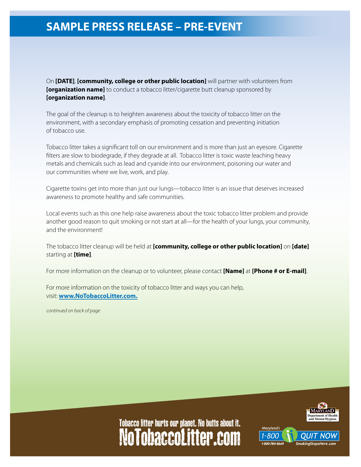## **SAMPLE PRESS RELEASE – PRE-EVENT**

On **[DATE]**, **[community, college or other public location]** will partner with volunteers from **[organization name]** to conduct a tobacco litter/cigarette butt cleanup sponsored by **[organization name]**.

The goal of the cleanup is to heighten awareness about the toxicity of tobacco litter on the environment, with a secondary emphasis of promoting cessation and preventing initiation of tobacco use.

Tobacco litter takes a significant toll on our environment and is more than just an eyesore. Cigarette filters are slow to biodegrade, if they degrade at all. Tobacco litter is toxic waste leaching heavy metals and chemicals such as lead and cyanide into our environment, poisoning our water and our communities where we live, work, and play.

Cigarette toxins get into more than just our lungs—tobacco litter is an issue that deserves increased awareness to promote healthy and safe communities.

Local events such as this one help raise awareness about the toxic tobacco litter problem and provide another good reason to quit smoking or not start at all—for the health of your lungs, your community, and the environment!

The tobacco litter cleanup will be held at **[community, college or other public location]** on **[date]** starting at **[time]**.

For more information on the cleanup or to volunteer, please contact **[Name]** at **[Phone # or E-mail]**.

For more information on the toxicity of tobacco litter and ways you can help, visit: **[www.NoTobaccoLitter.com](http://www.NoTobaccoLitter.com).**

*continued on back of page*



## NoTobaccoLitter.com Tobacco litter hurts our planet. No butts about it.